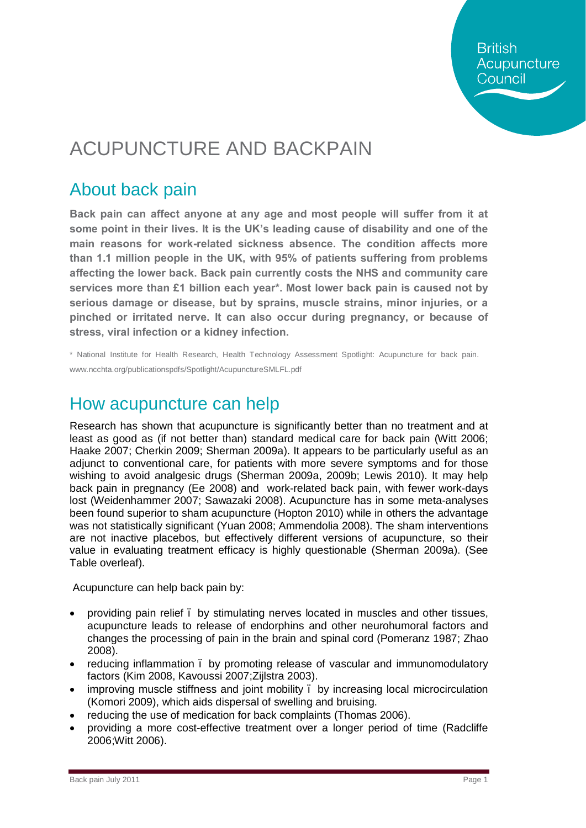## ACUPUNCTURE AND BACKPAIN

### About back pain

**Back pain can affect anyone at any age and most people will suffer from it at some point in their lives. It is the UK's leading cause of disability and one of the main reasons for work-related sickness absence. The condition affects more than 1.1 million people in the UK, with 95% of patients suffering from problems affecting the lower back. Back pain currently costs the NHS and community care services more than £1 billion each year\*. Most lower back pain is caused not by serious damage or disease, but by sprains, muscle strains, minor injuries, or a pinched or irritated nerve. It can also occur during pregnancy, or because of stress, viral infection or a kidney infection.** 

\* National Institute for Health Research, Health Technology Assessment Spotlight: Acupuncture for back pain. www.ncchta.org/publicationspdfs/Spotlight/AcupunctureSMLFL.pdf

#### How acupuncture can help

Research has shown that acupuncture is significantly better than no treatment and at least as good as (if not better than) standard medical care for back pain (Witt 2006; Haake 2007; Cherkin 2009; Sherman 2009a). It appears to be particularly useful as an adjunct to conventional care, for patients with more severe symptoms and for those wishing to avoid analgesic drugs (Sherman 2009a, 2009b; Lewis 2010). It may help back pain in pregnancy (Ee 2008) and work-related back pain, with fewer work-days lost (Weidenhammer 2007; Sawazaki 2008). Acupuncture has in some meta-analyses been found superior to sham acupuncture (Hopton 2010) while in others the advantage was not statistically significant (Yuan 2008; Ammendolia 2008). The sham interventions are not inactive placebos, but effectively different versions of acupuncture, so their value in evaluating treatment efficacy is highly questionable (Sherman 2009a). (See Table overleaf).

Acupuncture can help back pain by:

- providing pain relief. by stimulating nerves located in muscles and other tissues, acupuncture leads to release of endorphins and other neurohumoral factors and changes the processing of pain in the brain and spinal cord (Pomeranz 1987; Zhao 2008).
- reducing inflammation . by promoting release of vascular and immunomodulatory factors (Kim 2008, Kavoussi 2007;Zijlstra 2003).
- improving muscle stiffness and joint mobility . by increasing local microcirculation (Komori 2009), which aids dispersal of swelling and bruising.
- reducing the use of medication for back complaints (Thomas 2006).
- · providing a more cost-effective treatment over a longer period of time (Radcliffe 2006;Witt 2006).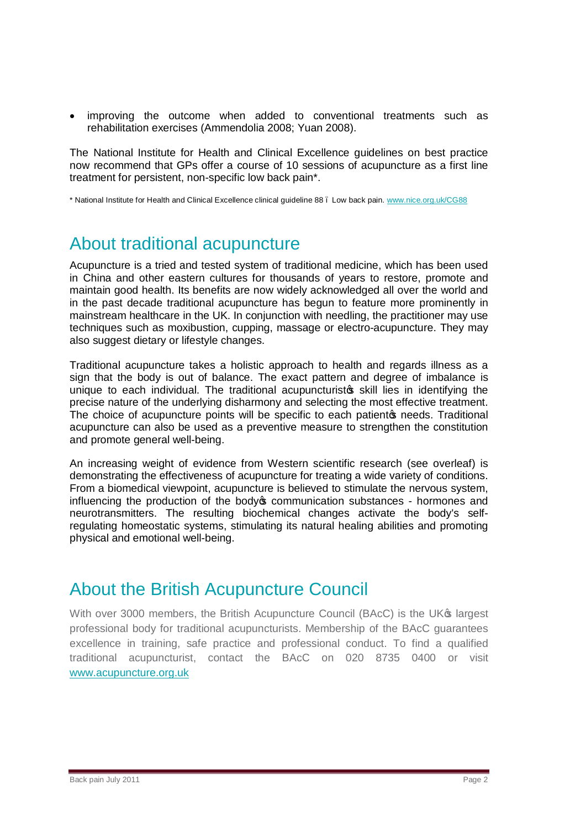· improving the outcome when added to conventional treatments such as rehabilitation exercises (Ammendolia 2008; Yuan 2008).

The National Institute for Health and Clinical Excellence guidelines on best practice now recommend that GPs offer a course of 10 sessions of acupuncture as a first line treatment for persistent, non-specific low back pain\*.

\* National Institute for Health and Clinical Excellence clinical guideline 88 – Low back pain. ww[w.nice.org.uk/CG88](http://www.nice.org.uk/CG88)

#### About traditional acupuncture

Acupuncture is a tried and tested system of traditional medicine, which has been used in China and other eastern cultures for thousands of years to restore, promote and maintain good health. Its benefits are now widely acknowledged all over the world and in the past decade traditional acupuncture has begun to feature more prominently in mainstream healthcare in the UK. In conjunction with needling, the practitioner may use techniques such as moxibustion, cupping, massage or electro-acupuncture. They may also suggest dietary or lifestyle changes.

Traditional acupuncture takes a holistic approach to health and regards illness as a sign that the body is out of balance. The exact pattern and degree of imbalance is unique to each individual. The traditional acupuncturisto skill lies in identifying the precise nature of the underlying disharmony and selecting the most effective treatment. The choice of acupuncture points will be specific to each patiento needs. Traditional acupuncture can also be used as a preventive measure to strengthen the constitution and promote general well-being.

An increasing weight of evidence from Western scientific research (see overleaf) is demonstrating the effectiveness of acupuncture for treating a wide variety of conditions. From a biomedical viewpoint, acupuncture is believed to stimulate the nervous system, influencing the production of the body's communication substances - hormones and neurotransmitters. The resulting biochemical changes activate the body's selfregulating homeostatic systems, stimulating its natural healing abilities and promoting physical and emotional well-being.

#### About the British Acupuncture Council

With over 3000 members, the British Acupuncture Council (BAcC) is the UK<sup>®</sup> largest professional body for traditional acupuncturists. Membership of the BAcC guarantees excellence in training, safe practice and professional conduct. To find a qualified traditional acupuncturist, contact the BAcC on 020 8735 0400 or visit [www.acupuncture.org.uk](http://www.acupuncture.org.uk/)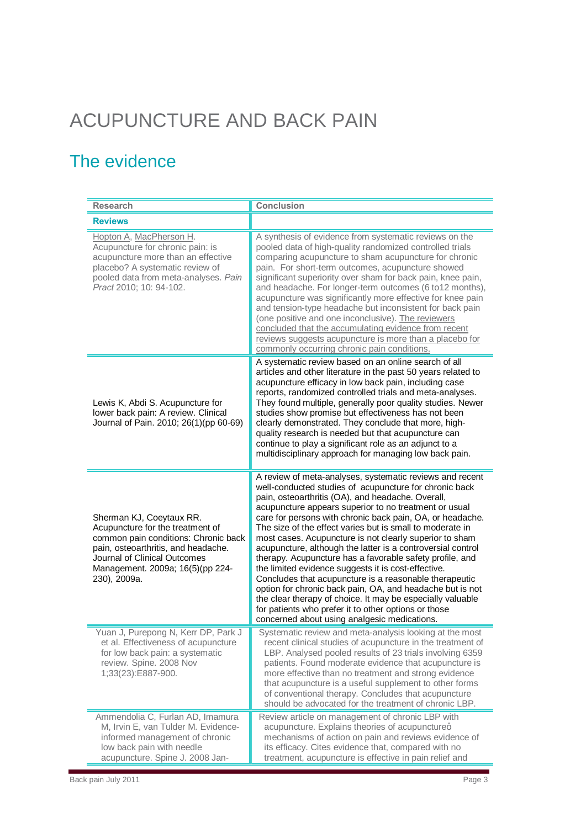# ACUPUNCTURE AND BACK PAIN

### The evidence

| <b>Research</b>                                                                                                                                                                                                                 | <b>Conclusion</b>                                                                                                                                                                                                                                                                                                                                                                                                                                                                                                                                                                                                                                                                                                                                                                                                                                                                                    |
|---------------------------------------------------------------------------------------------------------------------------------------------------------------------------------------------------------------------------------|------------------------------------------------------------------------------------------------------------------------------------------------------------------------------------------------------------------------------------------------------------------------------------------------------------------------------------------------------------------------------------------------------------------------------------------------------------------------------------------------------------------------------------------------------------------------------------------------------------------------------------------------------------------------------------------------------------------------------------------------------------------------------------------------------------------------------------------------------------------------------------------------------|
| <b>Reviews</b>                                                                                                                                                                                                                  |                                                                                                                                                                                                                                                                                                                                                                                                                                                                                                                                                                                                                                                                                                                                                                                                                                                                                                      |
| Hopton A, MacPherson H.<br>Acupuncture for chronic pain: is<br>acupuncture more than an effective<br>placebo? A systematic review of<br>pooled data from meta-analyses. Pain<br>Pract 2010; 10: 94-102.                         | A synthesis of evidence from systematic reviews on the<br>pooled data of high-quality randomized controlled trials<br>comparing acupuncture to sham acupuncture for chronic<br>pain. For short-term outcomes, acupuncture showed<br>significant superiority over sham for back pain, knee pain,<br>and headache. For longer-term outcomes (6 to12 months),<br>acupuncture was significantly more effective for knee pain<br>and tension-type headache but inconsistent for back pain<br>(one positive and one inconclusive). The reviewers<br>concluded that the accumulating evidence from recent<br>reviews suggests acupuncture is more than a placebo for<br>commonly occurring chronic pain conditions.                                                                                                                                                                                         |
| Lewis K, Abdi S. Acupuncture for<br>lower back pain: A review. Clinical<br>Journal of Pain. 2010; 26(1)(pp 60-69)                                                                                                               | A systematic review based on an online search of all<br>articles and other literature in the past 50 years related to<br>acupuncture efficacy in low back pain, including case<br>reports, randomized controlled trials and meta-analyses.<br>They found multiple, generally poor quality studies. Newer<br>studies show promise but effectiveness has not been<br>clearly demonstrated. They conclude that more, high-<br>quality research is needed but that acupuncture can<br>continue to play a significant role as an adjunct to a<br>multidisciplinary approach for managing low back pain.                                                                                                                                                                                                                                                                                                   |
| Sherman KJ, Coeytaux RR.<br>Acupuncture for the treatment of<br>common pain conditions: Chronic back<br>pain, osteoarthritis, and headache.<br>Journal of Clinical Outcomes<br>Management. 2009a; 16(5)(pp 224-<br>230), 2009a. | A review of meta-analyses, systematic reviews and recent<br>well-conducted studies of acupuncture for chronic back<br>pain, osteoarthritis (OA), and headache. Overall,<br>acupuncture appears superior to no treatment or usual<br>care for persons with chronic back pain, OA, or headache.<br>The size of the effect varies but is small to moderate in<br>most cases. Acupuncture is not clearly superior to sham<br>acupuncture, although the latter is a controversial control<br>therapy. Acupuncture has a favorable safety profile, and<br>the limited evidence suggests it is cost-effective.<br>Concludes that acupuncture is a reasonable therapeutic<br>option for chronic back pain, OA, and headache but is not<br>the clear therapy of choice. It may be especially valuable<br>for patients who prefer it to other options or those<br>concerned about using analgesic medications. |
| Yuan J, Purepong N, Kerr DP, Park J<br>et al. Effectiveness of acupuncture<br>for low back pain: a systematic<br>review. Spine. 2008 Nov<br>1;33(23):E887-900.                                                                  | Systematic review and meta-analysis looking at the most<br>recent clinical studies of acupuncture in the treatment of<br>LBP. Analysed pooled results of 23 trials involving 6359<br>patients. Found moderate evidence that acupuncture is<br>more effective than no treatment and strong evidence<br>that acupuncture is a useful supplement to other forms<br>of conventional therapy. Concludes that acupuncture<br>should be advocated for the treatment of chronic LBP.                                                                                                                                                                                                                                                                                                                                                                                                                         |
| Ammendolia C, Furlan AD, Imamura<br>M, Irvin E, van Tulder M. Evidence-<br>informed management of chronic<br>low back pain with needle<br>acupuncture. Spine J. 2008 Jan-                                                       | Review article on management of chronic LBP with<br>acupuncture. Explains theories of acupunctureq<br>mechanisms of action on pain and reviews evidence of<br>its efficacy. Cites evidence that, compared with no<br>treatment, acupuncture is effective in pain relief and                                                                                                                                                                                                                                                                                                                                                                                                                                                                                                                                                                                                                          |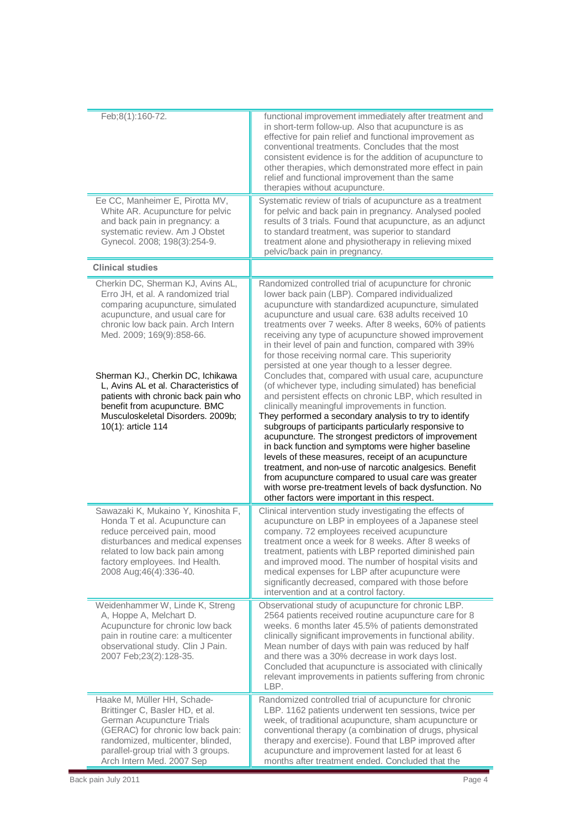| Feb;8(1):160-72.<br>Ee CC, Manheimer E, Pirotta MV,<br>White AR. Acupuncture for pelvic<br>and back pain in pregnancy: a<br>systematic review. Am J Obstet<br>Gynecol. 2008; 198(3):254-9.                                                 | functional improvement immediately after treatment and<br>in short-term follow-up. Also that acupuncture is as<br>effective for pain relief and functional improvement as<br>conventional treatments. Concludes that the most<br>consistent evidence is for the addition of acupuncture to<br>other therapies, which demonstrated more effect in pain<br>relief and functional improvement than the same<br>therapies without acupuncture.<br>Systematic review of trials of acupuncture as a treatment<br>for pelvic and back pain in pregnancy. Analysed pooled<br>results of 3 trials. Found that acupuncture, as an adjunct<br>to standard treatment, was superior to standard<br>treatment alone and physiotherapy in relieving mixed<br>pelvic/back pain in pregnancy. |
|--------------------------------------------------------------------------------------------------------------------------------------------------------------------------------------------------------------------------------------------|------------------------------------------------------------------------------------------------------------------------------------------------------------------------------------------------------------------------------------------------------------------------------------------------------------------------------------------------------------------------------------------------------------------------------------------------------------------------------------------------------------------------------------------------------------------------------------------------------------------------------------------------------------------------------------------------------------------------------------------------------------------------------|
| <b>Clinical studies</b>                                                                                                                                                                                                                    |                                                                                                                                                                                                                                                                                                                                                                                                                                                                                                                                                                                                                                                                                                                                                                              |
| Cherkin DC, Sherman KJ, Avins AL,<br>Erro JH, et al. A randomized trial<br>comparing acupuncture, simulated<br>acupuncture, and usual care for<br>chronic low back pain. Arch Intern<br>Med. 2009; 169(9):858-66.                          | Randomized controlled trial of acupuncture for chronic<br>lower back pain (LBP). Compared individualized<br>acupuncture with standardized acupuncture, simulated<br>acupuncture and usual care. 638 adults received 10<br>treatments over 7 weeks. After 8 weeks, 60% of patients<br>receiving any type of acupuncture showed improvement<br>in their level of pain and function, compared with 39%<br>for those receiving normal care. This superiority<br>persisted at one year though to a lesser degree.                                                                                                                                                                                                                                                                 |
| Sherman KJ., Cherkin DC, Ichikawa<br>L. Avins AL et al. Characteristics of<br>patients with chronic back pain who<br>benefit from acupuncture. BMC<br>Musculoskeletal Disorders. 2009b;<br>10(1): article 114                              | Concludes that, compared with usual care, acupuncture<br>(of whichever type, including simulated) has beneficial<br>and persistent effects on chronic LBP, which resulted in<br>clinically meaningful improvements in function.<br>They performed a secondary analysis to try to identify<br>subgroups of participants particularly responsive to<br>acupuncture. The strongest predictors of improvement<br>in back function and symptoms were higher baseline<br>levels of these measures, receipt of an acupuncture<br>treatment, and non-use of narcotic analgesics. Benefit<br>from acupuncture compared to usual care was greater<br>with worse pre-treatment levels of back dysfunction. No<br>other factors were important in this respect.                          |
| Sawazaki K, Mukaino Y, Kinoshita F,<br>Honda T et al. Acupuncture can<br>reduce perceived pain, mood<br>disturbances and medical expenses<br>related to low back pain among<br>factory employees. Ind Health.<br>2008 Aug; 46(4): 336-40.  | Clinical intervention study investigating the effects of<br>acupuncture on LBP in employees of a Japanese steel<br>company. 72 employees received acupuncture<br>treatment once a week for 8 weeks. After 8 weeks of<br>treatment, patients with LBP reported diminished pain<br>and improved mood. The number of hospital visits and<br>medical expenses for LBP after acupuncture were<br>significantly decreased, compared with those before<br>intervention and at a control factory.                                                                                                                                                                                                                                                                                    |
| Weidenhammer W, Linde K, Streng<br>A, Hoppe A, Melchart D.<br>Acupuncture for chronic low back<br>pain in routine care: a multicenter<br>observational study. Clin J Pain.<br>2007 Feb; 23(2): 128-35.                                     | Observational study of acupuncture for chronic LBP.<br>2564 patients received routine acupuncture care for 8<br>weeks. 6 months later 45.5% of patients demonstrated<br>clinically significant improvements in functional ability.<br>Mean number of days with pain was reduced by half<br>and there was a 30% decrease in work days lost.<br>Concluded that acupuncture is associated with clinically<br>relevant improvements in patients suffering from chronic<br>LBP.                                                                                                                                                                                                                                                                                                   |
| Haake M, Müller HH, Schade-<br>Brittinger C, Basler HD, et al.<br>German Acupuncture Trials<br>(GERAC) for chronic low back pain:<br>randomized, multicenter, blinded,<br>parallel-group trial with 3 groups.<br>Arch Intern Med. 2007 Sep | Randomized controlled trial of acupuncture for chronic<br>LBP. 1162 patients underwent ten sessions, twice per<br>week, of traditional acupuncture, sham acupuncture or<br>conventional therapy (a combination of drugs, physical<br>therapy and exercise). Found that LBP improved after<br>acupuncture and improvement lasted for at least 6<br>months after treatment ended. Concluded that the                                                                                                                                                                                                                                                                                                                                                                           |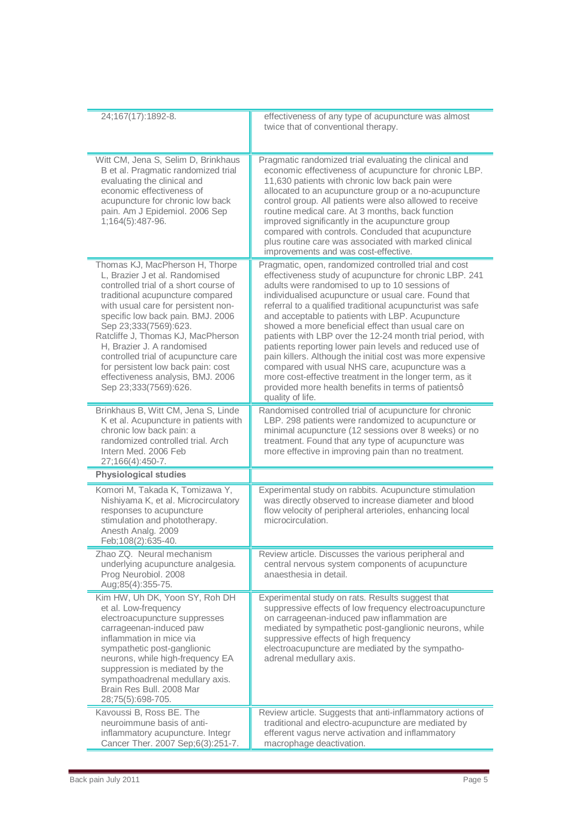| 24;167(17):1892-8.                                                                                                                                                                                                                                                                                                                                                                                                                                                  | effectiveness of any type of acupuncture was almost<br>twice that of conventional therapy.                                                                                                                                                                                                                                                                                                                                                                                                                                                                                                                                                                                                                                                                                        |
|---------------------------------------------------------------------------------------------------------------------------------------------------------------------------------------------------------------------------------------------------------------------------------------------------------------------------------------------------------------------------------------------------------------------------------------------------------------------|-----------------------------------------------------------------------------------------------------------------------------------------------------------------------------------------------------------------------------------------------------------------------------------------------------------------------------------------------------------------------------------------------------------------------------------------------------------------------------------------------------------------------------------------------------------------------------------------------------------------------------------------------------------------------------------------------------------------------------------------------------------------------------------|
| Witt CM, Jena S, Selim D, Brinkhaus<br>B et al. Pragmatic randomized trial<br>evaluating the clinical and<br>economic effectiveness of<br>acupuncture for chronic low back<br>pain. Am J Epidemiol. 2006 Sep<br>1;164(5):487-96.                                                                                                                                                                                                                                    | Pragmatic randomized trial evaluating the clinical and<br>economic effectiveness of acupuncture for chronic LBP.<br>11,630 patients with chronic low back pain were<br>allocated to an acupuncture group or a no-acupuncture<br>control group. All patients were also allowed to receive<br>routine medical care. At 3 months, back function<br>improved significantly in the acupuncture group<br>compared with controls. Concluded that acupuncture<br>plus routine care was associated with marked clinical<br>improvements and was cost-effective.                                                                                                                                                                                                                            |
| Thomas KJ, MacPherson H, Thorpe<br>L, Brazier J et al. Randomised<br>controlled trial of a short course of<br>traditional acupuncture compared<br>with usual care for persistent non-<br>specific low back pain. BMJ. 2006<br>Sep 23;333(7569):623.<br>Ratcliffe J, Thomas KJ, MacPherson<br>H, Brazier J. A randomised<br>controlled trial of acupuncture care<br>for persistent low back pain: cost<br>effectiveness analysis, BMJ. 2006<br>Sep 23;333(7569):626. | Pragmatic, open, randomized controlled trial and cost<br>effectiveness study of acupuncture for chronic LBP. 241<br>adults were randomised to up to 10 sessions of<br>individualised acupuncture or usual care. Found that<br>referral to a qualified traditional acupuncturist was safe<br>and acceptable to patients with LBP. Acupuncture<br>showed a more beneficial effect than usual care on<br>patients with LBP over the 12-24 month trial period, with<br>patients reporting lower pain levels and reduced use of<br>pain killers. Although the initial cost was more expensive<br>compared with usual NHS care, acupuncture was a<br>more cost-effective treatment in the longer term, as it<br>provided more health benefits in terms of patientsq<br>quality of life. |
| Brinkhaus B, Witt CM, Jena S, Linde<br>K et al. Acupuncture in patients with<br>chronic low back pain: a<br>randomized controlled trial. Arch<br>Intern Med. 2006 Feb<br>27;166(4):450-7.                                                                                                                                                                                                                                                                           | Randomised controlled trial of acupuncture for chronic<br>LBP. 298 patients were randomized to acupuncture or<br>minimal acupuncture (12 sessions over 8 weeks) or no<br>treatment. Found that any type of acupuncture was<br>more effective in improving pain than no treatment.                                                                                                                                                                                                                                                                                                                                                                                                                                                                                                 |
| <b>Physiological studies</b>                                                                                                                                                                                                                                                                                                                                                                                                                                        |                                                                                                                                                                                                                                                                                                                                                                                                                                                                                                                                                                                                                                                                                                                                                                                   |
| Komori M, Takada K, Tomizawa Y,<br>Nishiyama K, et al. Microcirculatory<br>responses to acupuncture<br>stimulation and phototherapy.<br>Anesth Analg. 2009<br>Feb;108(2):635-40.                                                                                                                                                                                                                                                                                    | Experimental study on rabbits. Acupuncture stimulation<br>was directly observed to increase diameter and blood<br>flow velocity of peripheral arterioles, enhancing local<br>microcirculation.                                                                                                                                                                                                                                                                                                                                                                                                                                                                                                                                                                                    |
| Zhao ZQ. Neural mechanism<br>underlying acupuncture analgesia.<br>Prog Neurobiol. 2008<br>Aug;85(4):355-75.                                                                                                                                                                                                                                                                                                                                                         | Review article. Discusses the various peripheral and<br>central nervous system components of acupuncture<br>anaesthesia in detail.                                                                                                                                                                                                                                                                                                                                                                                                                                                                                                                                                                                                                                                |
| Kim HW, Uh DK, Yoon SY, Roh DH<br>et al. Low-frequency<br>electroacupuncture suppresses<br>carrageenan-induced paw<br>inflammation in mice via<br>sympathetic post-ganglionic<br>neurons, while high-frequency EA<br>suppression is mediated by the<br>sympathoadrenal medullary axis.<br>Brain Res Bull. 2008 Mar<br>28;75(5):698-705.                                                                                                                             | Experimental study on rats. Results suggest that<br>suppressive effects of low frequency electroacupuncture<br>on carrageenan-induced paw inflammation are<br>mediated by sympathetic post-ganglionic neurons, while<br>suppressive effects of high frequency<br>electroacupuncture are mediated by the sympatho-<br>adrenal medullary axis.                                                                                                                                                                                                                                                                                                                                                                                                                                      |
| Kavoussi B, Ross BE. The<br>neuroimmune basis of anti-<br>inflammatory acupuncture. Integr<br>Cancer Ther. 2007 Sep;6(3):251-7.                                                                                                                                                                                                                                                                                                                                     | Review article. Suggests that anti-inflammatory actions of<br>traditional and electro-acupuncture are mediated by<br>efferent vagus nerve activation and inflammatory<br>macrophage deactivation.                                                                                                                                                                                                                                                                                                                                                                                                                                                                                                                                                                                 |